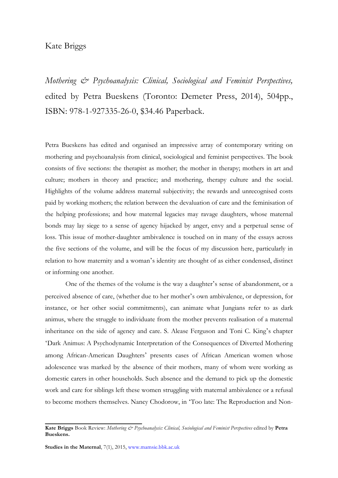## Kate Briggs

*Mothering & Psychoanalysis: Clinical, Sociological and Feminist Perspectives,*  edited by Petra Bueskens (Toronto: Demeter Press, 2014), 504pp., ISBN: 978-1-927335-26-0, \$34.46 Paperback.

Petra Bueskens has edited and organised an impressive array of contemporary writing on mothering and psychoanalysis from clinical, sociological and feminist perspectives. The book consists of five sections: the therapist as mother; the mother in therapy; mothers in art and culture; mothers in theory and practice; and mothering, therapy culture and the social. Highlights of the volume address maternal subjectivity; the rewards and unrecognised costs paid by working mothers; the relation between the devaluation of care and the feminisation of the helping professions; and how maternal legacies may ravage daughters, whose maternal bonds may lay siege to a sense of agency hijacked by anger, envy and a perpetual sense of loss. This issue of mother-daughter ambivalence is touched on in many of the essays across the five sections of the volume, and will be the focus of my discussion here, particularly in relation to how maternity and a woman's identity are thought of as either condensed, distinct or informing one another.

One of the themes of the volume is the way a daughter's sense of abandonment, or a perceived absence of care, (whether due to her mother's own ambivalence, or depression, for instance, or her other social commitments), can animate what Jungians refer to as dark animus, where the struggle to individuate from the mother prevents realisation of a maternal inheritance on the side of agency and care. S. Alease Ferguson and Toni C. King's chapter 'Dark Animus: A Psychodynamic Interpretation of the Consequences of Diverted Mothering among African-American Daughters' presents cases of African American women whose adolescence was marked by the absence of their mothers, many of whom were working as domestic carers in other households. Such absence and the demand to pick up the domestic work and care for siblings left these women struggling with maternal ambivalence or a refusal to become mothers themselves. Nancy Chodorow, in 'Too late: The Reproduction and Non-

**Kate Briggs** Book Review: *Mothering & Psychoanalysis: Clinical, Sociological and Feminist Perspectives* edited by **Petra Bueskens.**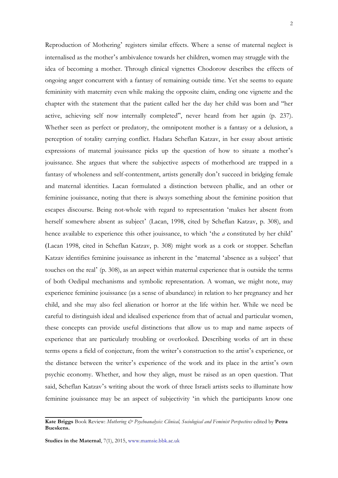Reproduction of Mothering' registers similar effects. Where a sense of maternal neglect is internalised as the mother's ambivalence towards her children, women may struggle with the idea of becoming a mother. Through clinical vignettes Chodorow describes the effects of ongoing anger concurrent with a fantasy of remaining outside time. Yet she seems to equate femininity with maternity even while making the opposite claim, ending one vignette and the chapter with the statement that the patient called her the day her child was born and "her active, achieving self now internally completed", never heard from her again (p. 237). Whether seen as perfect or predatory, the omnipotent mother is a fantasy or a delusion, a perception of totality carrying conflict. Hadara Scheflan Katzav, in her essay about artistic expressions of maternal jouissance picks up the question of how to situate a mother's jouissance. She argues that where the subjective aspects of motherhood are trapped in a fantasy of wholeness and self-contentment, artists generally don't succeed in bridging female and maternal identities. Lacan formulated a distinction between phallic, and an other or feminine jouissance, noting that there is always something about the feminine position that escapes discourse. Being not-whole with regard to representation 'makes her absent from herself somewhere absent as subject' (Lacan, 1998, cited by Scheflan Katzav, p. 308), and hence available to experience this other jouissance, to which 'the *a* constituted by her child' (Lacan 1998, cited in Scheflan Katzav, p. 308) might work as a cork or stopper. Scheflan Katzav identifies feminine jouissance as inherent in the 'maternal 'absence as a subject' that touches on the real' (p. 308), as an aspect within maternal experience that is outside the terms of both Oedipal mechanisms and symbolic representation. A woman, we might note, may experience feminine jouissance (as a sense of abundance) in relation to her pregnancy and her child, and she may also feel alienation or horror at the life within her. While we need be careful to distinguish ideal and idealised experience from that of actual and particular women, these concepts can provide useful distinctions that allow us to map and name aspects of experience that are particularly troubling or overlooked. Describing works of art in these terms opens a field of conjecture, from the writer's construction to the artist's experience, or the distance between the writer's experience of the work and its place in the artist's own psychic economy. Whether, and how they align, must be raised as an open question. That said, Scheflan Katzav's writing about the work of three Israeli artists seeks to illuminate how feminine jouissance may be an aspect of subjectivity 'in which the participants know one

**Kate Briggs** Book Review: *Mothering & Psychoanalysis: Clinical, Sociological and Feminist Perspectives* edited by **Petra Bueskens.**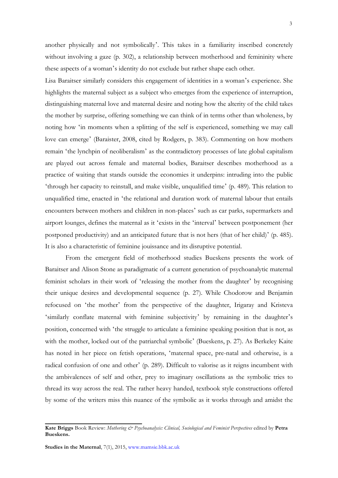another physically and not symbolically'. This takes in a familiarity inscribed concretely without involving a gaze (p. 302), a relationship between motherhood and femininity where these aspects of a woman's identity do not exclude but rather shape each other.

Lisa Baraitser similarly considers this engagement of identities in a woman's experience. She highlights the maternal subject as a subject who emerges from the experience of interruption, distinguishing maternal love and maternal desire and noting how the alterity of the child takes the mother by surprise, offering something we can think of in terms other than wholeness, by noting how 'in moments when a splitting of the self is experienced, something we may call love can emerge' (Baraister, 2008, cited by Rodgers, p. 383). Commenting on how mothers remain 'the lynchpin of neoliberalism' as the contradictory processes of late global capitalism are played out across female and maternal bodies, Baraitser describes motherhood as a practice of waiting that stands outside the economies it underpins: intruding into the public 'through her capacity to reinstall, and make visible, unqualified time' (p. 489). This relation to unqualified time, enacted in 'the relational and duration work of maternal labour that entails encounters between mothers and children in non-places' such as car parks, supermarkets and airport lounges, defines the maternal as it 'exists in the 'interval' between postponement (her postponed productivity) and an anticipated future that is not hers (that of her child)' (p. 485). It is also a characteristic of feminine jouissance and its disruptive potential.

From the emergent field of motherhood studies Bueskens presents the work of Baraitser and Alison Stone as paradigmatic of a current generation of psychoanalytic maternal feminist scholars in their work of 'releasing the mother from the daughter' by recognising their unique desires and developmental sequence (p. 27). While Chodorow and Benjamin refocused on 'the mother' from the perspective of the daughter, Irigaray and Kristeva 'similarly conflate maternal with feminine subjectivity' by remaining in the daughter's position, concerned with 'the struggle to articulate a feminine speaking position that is not, as with the mother, locked out of the patriarchal symbolic' (Bueskens, p. 27). As Berkeley Kaite has noted in her piece on fetish operations, 'maternal space, pre-natal and otherwise, is a radical confusion of one and other' (p. 289). Difficult to valorise as it reigns incumbent with the ambivalences of self and other, prey to imaginary oscillations as the symbolic tries to thread its way across the real. The rather heavy handed, textbook style constructions offered by some of the writers miss this nuance of the symbolic as it works through and amidst the

**Kate Briggs** Book Review: *Mothering & Psychoanalysis: Clinical, Sociological and Feminist Perspectives* edited by **Petra Bueskens.**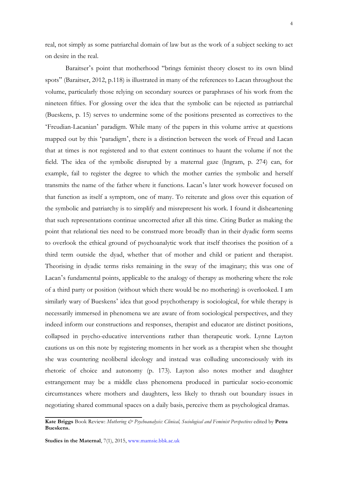real, not simply as some patriarchal domain of law but as the work of a subject seeking to act on desire in the real.

Baraitser's point that motherhood "brings feminist theory closest to its own blind spots" (Baraitser, 2012, p.118) is illustrated in many of the references to Lacan throughout the volume, particularly those relying on secondary sources or paraphrases of his work from the nineteen fifties. For glossing over the idea that the symbolic can be rejected as patriarchal (Bueskens, p. 15) serves to undermine some of the positions presented as correctives to the 'Freudian-Lacanian' paradigm. While many of the papers in this volume arrive at questions mapped out by this 'paradigm', there is a distinction between the work of Freud and Lacan that at times is not registered and to that extent continues to haunt the volume if not the field. The idea of the symbolic disrupted by a maternal gaze (Ingram, p. 274) can, for example, fail to register the degree to which the mother carries the symbolic and herself transmits the name of the father where it functions. Lacan's later work however focused on that function as itself a symptom, one of many. To reiterate and gloss over this equation of the symbolic and patriarchy is to simplify and misrepresent his work. I found it disheartening that such representations continue uncorrected after all this time. Citing Butler as making the point that relational ties need to be construed more broadly than in their dyadic form seems to overlook the ethical ground of psychoanalytic work that itself theorises the position of a third term outside the dyad, whether that of mother and child or patient and therapist. Theorising in dyadic terms risks remaining in the sway of the imaginary; this was one of Lacan's fundamental points, applicable to the analogy of therapy as mothering where the role of a third party or position (without which there would be no mothering) is overlooked. I am similarly wary of Bueskens' idea that good psychotherapy is sociological, for while therapy is necessarily immersed in phenomena we are aware of from sociological perspectives, and they indeed inform our constructions and responses, therapist and educator are distinct positions, collapsed in psycho-educative interventions rather than therapeutic work. Lynne Layton cautions us on this note by registering moments in her work as a therapist when she thought she was countering neoliberal ideology and instead was colluding unconsciously with its rhetoric of choice and autonomy (p. 173). Layton also notes mother and daughter estrangement may be a middle class phenomena produced in particular socio-economic circumstances where mothers and daughters, less likely to thrash out boundary issues in negotiating shared communal spaces on a daily basis, perceive them as psychological dramas.

**Kate Briggs** Book Review: *Mothering & Psychoanalysis: Clinical, Sociological and Feminist Perspectives* edited by **Petra Bueskens.**